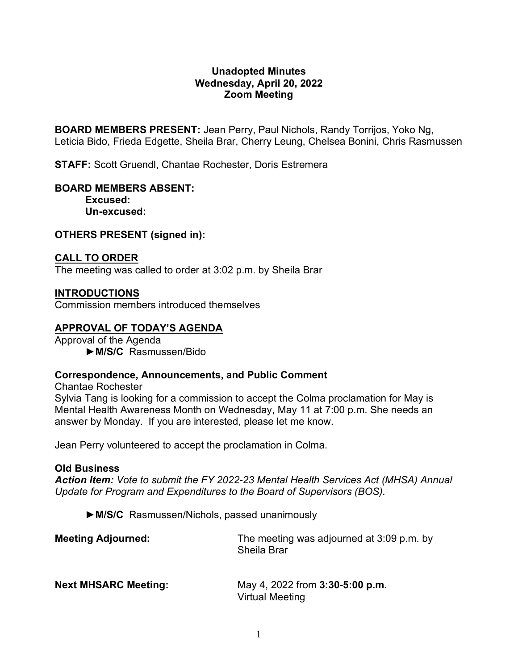### **Unadopted Minutes Wednesday, April 20, 2022 Zoom Meeting**

**BOARD MEMBERS PRESENT:** Jean Perry, Paul Nichols, Randy Torrijos, Yoko Ng, Leticia Bido, Frieda Edgette, Sheila Brar, Cherry Leung, Chelsea Bonini, Chris Rasmussen

**STAFF:** Scott Gruendl, Chantae Rochester, Doris Estremera

# **BOARD MEMBERS ABSENT:**

**Excused: Un-excused:** 

#### **OTHERS PRESENT (signed in):**

#### **CALL TO ORDER**

The meeting was called to order at 3:02 p.m. by Sheila Brar

#### **INTRODUCTIONS**

Commission members introduced themselves

### **APPROVAL OF TODAY'S AGENDA**

Approval of the Agenda ►**M/S/C** Rasmussen/Bido

#### **Correspondence, Announcements, and Public Comment**

Chantae Rochester

Sylvia Tang is looking for a commission to accept the Colma proclamation for May is Mental Health Awareness Month on Wednesday, May 11 at 7:00 p.m. She needs an answer by Monday. If you are interested, please let me know.

Jean Perry volunteered to accept the proclamation in Colma.

#### **Old Business**

*Action Item: Vote to submit the FY 2022-23 Mental Health Services Act (MHSA) Annual Update for Program and Expenditures to the Board of Supervisors (BOS).*

►**M/S/C** Rasmussen/Nichols, passed unanimously

| <b>Meeting Adjourned:</b>   | The meeting was adjourned at 3:09 p.m. by<br><b>Sheila Brar</b>  |
|-----------------------------|------------------------------------------------------------------|
| <b>Next MHSARC Meeting:</b> | May 4, 2022 from <b>3:30-5:00 p.m.</b><br><b>Virtual Meeting</b> |